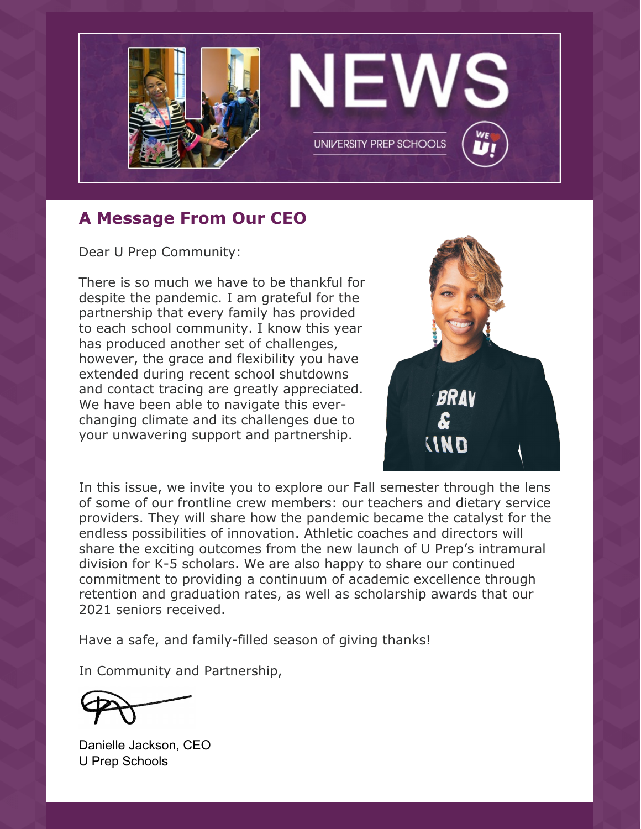

# **A Message From Our CEO**

Dear U Prep Community:

There is so much we have to be thankful for despite the pandemic. I am grateful for the partnership that every family has provided to each school community. I know this year has produced another set of challenges, however, the grace and flexibility you have extended during recent school shutdowns and contact tracing are greatly appreciated. We have been able to navigate this everchanging climate and its challenges due to your unwavering support and partnership.



In this issue, we invite you to explore our Fall semester through the lens of some of our frontline crew members: our teachers and dietary service providers. They will share how the pandemic became the catalyst for the endless possibilities of innovation. Athletic coaches and directors will share the exciting outcomes from the new launch of U Prep's intramural division for K-5 scholars. We are also happy to share our continued commitment to providing a continuum of academic excellence through retention and graduation rates, as well as scholarship awards that our 2021 seniors received.

Have a safe, and family-filled season of giving thanks!

In Community and Partnership,

Danielle Jackson, CEO U Prep Schools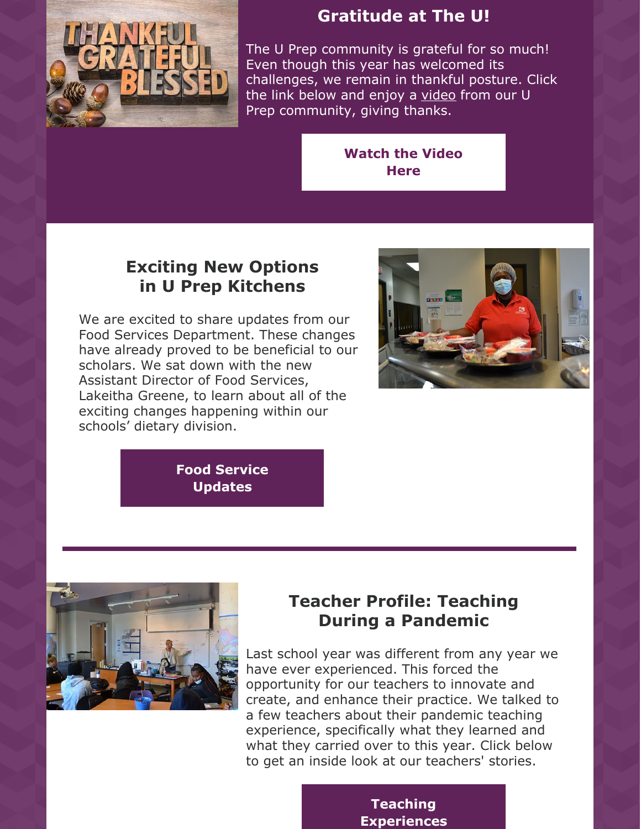

# **Gratitude at The U!**

The U Prep community is grateful for so much! Even though this year has welcomed its challenges, we remain in thankful posture. Click the link below and enjoy a [video](https://youtu.be/K1g-H3IMYmU) from our U Prep community, giving thanks.

### **[Watch](https://youtu.be/K1g-H3IMYmU) the Video Here**

# **Exciting New Options in U Prep Kitchens**

We are excited to share updates from our Food Services Department. These changes have already proved to be beneficial to our scholars. We sat down with the new Assistant Director of Food Services, Lakeitha Greene, to learn about all of the exciting changes happening within our schools' dietary division.



**Food Service [Updates](https://files.constantcontact.com/d7f950cf701/1d3eb15b-1756-468b-b148-e194cbb196b5.pdf)**



# **Teacher Profile: Teaching During a Pandemic**

Last school year was different from any year we have ever experienced. This forced the opportunity for our teachers to innovate and create, and enhance their practice. We talked to a few teachers about their pandemic teaching experience, specifically what they learned and what they carried over to this year. Click below to get an inside look at our teachers' stories.

### **Teaching [Experiences](https://files.constantcontact.com/d7f950cf701/f0c96f89-9683-482c-9db0-ebbf134a094f.pdf)**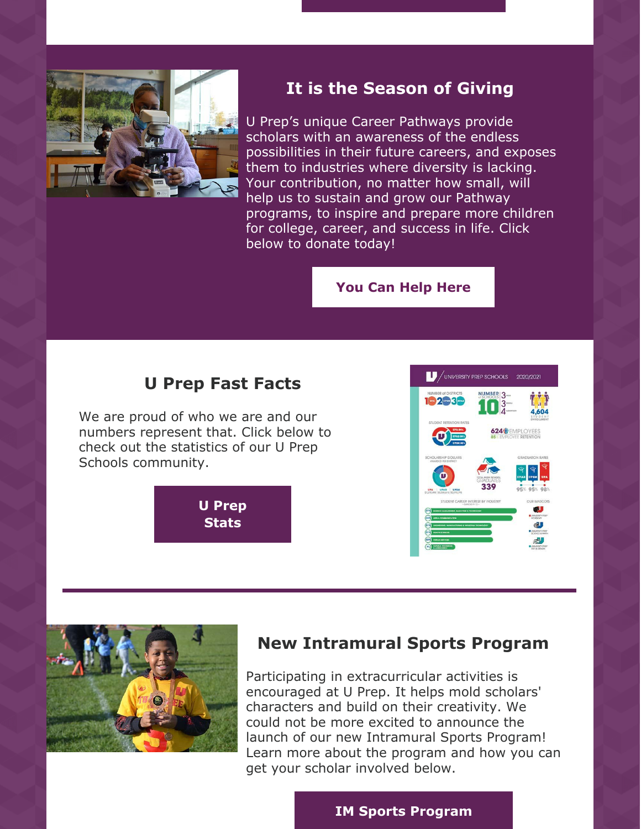

## **It is the Season of Giving**

U Prep's unique Career Pathways provide scholars with an awareness of the endless possibilities in their future careers, and exposes them to industries where diversity is lacking. Your contribution, no matter how small, will help us to sustain and grow our Pathway programs, to inspire and prepare more children for college, career, and success in life. Click below to donate today!

#### **You Can [Help](https://uprepschools.com/donate/) Here**

### **U Prep Fast Facts**

We are proud of who we are and our numbers represent that. Click below to check out the statistics of our U Prep Schools community.

> **U Prep [Stats](https://files.constantcontact.com/d7f950cf701/06ac5683-277b-4e04-af4d-dfd9a80f57f6.pdf)**





### **New Intramural Sports Program**

Participating in extracurricular activities is encouraged at U Prep. It helps mold scholars' characters and build on their creativity. We could not be more excited to announce the launch of our new Intramural Sports Program! Learn more about the program and how you can get your scholar involved below.

#### **IM Sports [Program](https://files.constantcontact.com/d7f950cf701/92711a1e-210c-48a2-ac0c-5d0d19fc947d.pdf)**